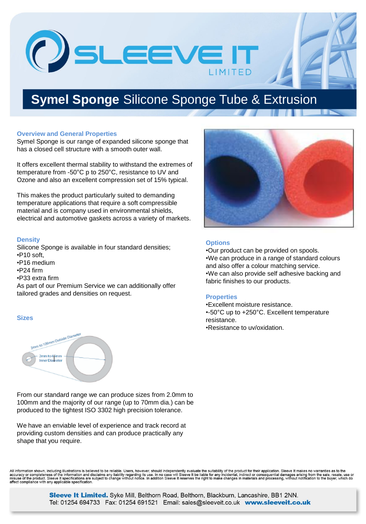OSLEEVEIT

## **Symel Sponge** Silicone Sponge Tube & Extrusion

#### **Overview and General Properties**

Symel Sponge is our range of expanded silicone sponge that has a closed cell structure with a smooth outer wall.

It offers excellent thermal stability to withstand the extremes of temperature from -50°C p to 250°C, resistance to UV and Ozone and also an excellent compression set of 15% typical.

This makes the product particularly suited to demanding temperature applications that require a soft compressible material and is company used in environmental shields, electrical and automotive gaskets across a variety of markets.

#### **Density**

Silicone Sponge is available in four standard densities; •P10 soft,

- •P16 medium
- •P24 firm
- •P33 extra firm

As part of our Premium Service we can additionally offer tailored grades and densities on request.

#### **Sizes**



From our standard range we can produce sizes from 2.0mm to 100mm and the majority of our range (up to 70mm dia.) can be produced to the tightest ISO 3302 high precision tolerance.

We have an enviable level of experience and track record at providing custom densities and can produce practically any shape that you require.



### **Options**

•Our product can be provided on spools. •We can produce in a range of standard colours and also offer a colour matching service. •We can also provide self adhesive backing and fabric finishes to our products.

### **Properties**

•Excellent moisture resistance. •-50°C up to +250°C. Excellent temperature resistance. •Resistance to uv/oxidation.

All information shown, including illustrations is believed to be reliable. Users, however, should independently evaluate the suitability of the product for their application. Sleeve It makes no warranties as to the missed use or

> Sleeve It Limited. Syke Mill, Belthorn Road, Belthorn, Blackburn, Lancashire, BB1 2NN. Tel: 01254 694733 Fax: 01254 691521 Email: sales@sleeveit.co.uk www.sleeveit.co.uk